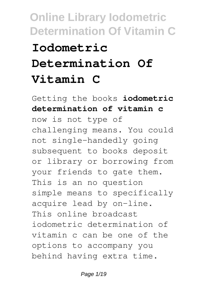# **Online Library Iodometric Determination Of Vitamin C Iodometric Determination Of Vitamin C**

Getting the books **iodometric determination of vitamin c** now is not type of challenging means. You could not single-handedly going subsequent to books deposit or library or borrowing from your friends to gate them. This is an no question simple means to specifically acquire lead by on-line. This online broadcast iodometric determination of vitamin c can be one of the options to accompany you behind having extra time.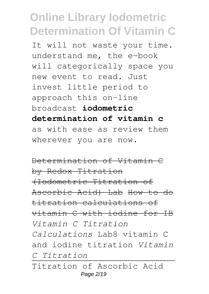It will not waste your time. understand me, the e-book will categorically space you new event to read. Just invest little period to approach this on-line broadcast **iodometric determination of vitamin c** as with ease as review them wherever you are now.

Determination of Vitamin C by Redox Titration (Iodometric Titration of Ascorbic Acid) Lab How to do titration calculations of vitamin C with iodine for IB *Vitamin C Titration Calculations* Lab8 vitamin C and iodine titration *Vitamin C Titration*

Titration of Ascorbic Acid Page 2/19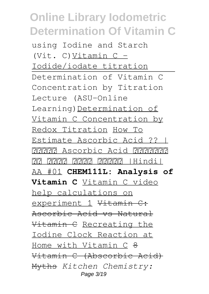using Iodine and Starch (Vit. C) Vitamin  $C -$ Iodide/iodate titration Determination of Vitamin C Concentration by Titration Lecture (ASU-Online Learning)Determination of Vitamin C Concentration by Redox Titration How To Estimate Ascorbic Acid ?? | जानिए Ascorbic Acid निकालने <u> 13 सितायार सिरोरी सिरोरीयारी | Hindi</u> AA #01 **CHEM111L: Analysis of Vitamin C** Vitamin C video help calculations on experiment 1 Vitamin C: Ascorbic Acid vs Natural Vitamin C Recreating the Iodine Clock Reaction at Home with Vitamin C <del>8</del> Vitamin C (Abscorbic Acid) Myths *Kitchen Chemistry:* Page 3/19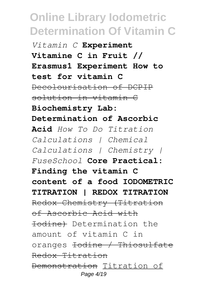*Vitamin C* **Experiment Vitamine C in Fruit // Erasmus1 Experiment How to test for vitamin C** Decolourisation of DCPIP solution in vitamin C **Biochemistry Lab: Determination of Ascorbic Acid** *How To Do Titration Calculations | Chemical Calculations | Chemistry | FuseSchool* **Core Practical: Finding the vitamin C content of a food IODOMETRIC TITRATION | REDOX TITRATION** Redox Chemistry (Titration of Ascorbic Acid with Iodine) Determination the amount of vitamin C in oranges Iodine / Thiosulfate Redox Titration Demonstration Titration of Page 4/19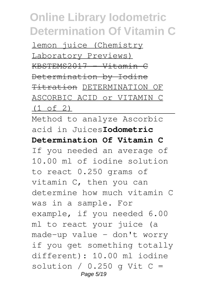lemon juice (Chemistry Laboratory Previews) KBSTEMS2017 - Vitamin C Determination by Iodine Titration DETERMINATION OF ASCORBIC ACID or VITAMIN C (1 of 2)

Method to analyze Ascorbic acid in Juices**Iodometric Determination Of Vitamin C** If you needed an average of 10.00 ml of iodine solution to react 0.250 grams of vitamin C, then you can determine how much vitamin C was in a sample. For example, if you needed 6.00 ml to react your juice (a made-up value - don't worry if you get something totally different): 10.00 ml iodine solution /  $0.250$  q Vit C = Page 5/19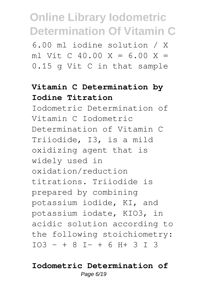6.00 ml iodine solution / X ml Vit C 40.00  $X = 6.00 X =$ 0.15 g Vit C in that sample

### **Vitamin C Determination by Iodine Titration**

Iodometric Determination of Vitamin C Iodometric Determination of Vitamin C Triiodide, I3, is a mild oxidizing agent that is widely used in oxidation/reduction titrations. Triiodide is prepared by combining potassium iodide, KI, and potassium iodate, KIO3, in acidic solution according to the following stoichiometry:  $IO3 - + 8 I - + 6 H + 3 I 3$ 

#### **Iodometric Determination of** Page 6/19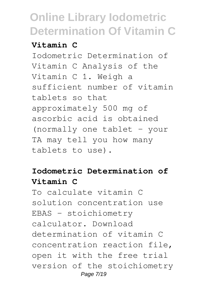#### **Vitamin C**

Iodometric Determination of Vitamin C Analysis of the Vitamin C 1. Weigh a sufficient number of vitamin tablets so that approximately 500 mg of ascorbic acid is obtained (normally one tablet – your TA may tell you how many tablets to use).

### **Iodometric Determination of Vitamin C**

To calculate vitamin C solution concentration use EBAS - stoichiometry calculator. Download determination of vitamin C concentration reaction file, open it with the free trial version of the stoichiometry Page 7/19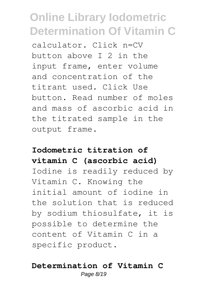calculator. Click n=CV button above I 2 in the input frame, enter volume and concentration of the titrant used. Click Use button. Read number of moles and mass of ascorbic acid in the titrated sample in the output frame.

#### **Iodometric titration of vitamin C (ascorbic acid)**

Iodine is readily reduced by Vitamin C. Knowing the initial amount of iodine in the solution that is reduced by sodium thiosulfate, it is possible to determine the content of Vitamin C in a specific product.

#### **Determination of Vitamin C** Page 8/19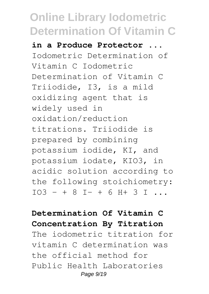**in a Produce Protector ...** Iodometric Determination of Vitamin C Iodometric Determination of Vitamin C Triiodide, I3, is a mild oxidizing agent that is widely used in oxidation/reduction titrations. Triiodide is prepared by combining potassium iodide, KI, and potassium iodate, KIO3, in acidic solution according to the following stoichiometry:  $IO3 - + 8 I - + 6 H + 3 I ...$ 

#### **Determination Of Vitamin C Concentration By Titration**

The iodometric titration for vitamin C determination was the official method for Public Health Laboratories Page 9/19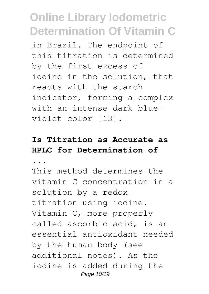in Brazil. The endpoint of this titration is determined by the first excess of iodine in the solution, that reacts with the starch indicator, forming a complex with an intense dark blueviolet color [13].

### **Is Titration as Accurate as HPLC for Determination of**

**...**

This method determines the vitamin C concentration in a solution by a redox titration using iodine. Vitamin C, more properly called ascorbic acid, is an essential antioxidant needed by the human body (see additional notes). As the iodine is added during the Page 10/19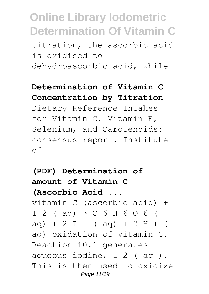titration, the ascorbic acid is oxidised to dehydroascorbic acid, while

#### **Determination of Vitamin C Concentration by Titration**

Dietary Reference Intakes for Vitamin C, Vitamin E, Selenium, and Carotenoids: consensus report. Institute of

**(PDF) Determination of amount of Vitamin C (Ascorbic Acid ...** vitamin C (ascorbic acid) +  $I$  2 ( aq)  $\rightarrow$  C 6 H 6 O 6 (  $aq$  + 2 I - (  $aq$ ) + 2 H + ( aq) oxidation of vitamin C. Reaction 10.1 generates aqueous iodine, I 2 ( aq ). This is then used to oxidize Page 11/19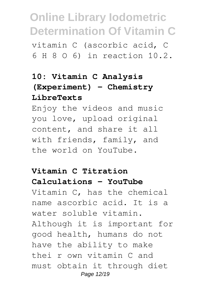vitamin C (ascorbic acid, C 6 H 8 O 6) in reaction 10.2.

### **10: Vitamin C Analysis (Experiment) - Chemistry LibreTexts**

Enjoy the videos and music you love, upload original content, and share it all with friends, family, and the world on YouTube.

#### **Vitamin C Titration Calculations - YouTube**

Vitamin C, has the chemical name ascorbic acid. It is a water soluble vitamin. Although it is important for good health, humans do not have the ability to make thei r own vitamin C and must obtain it through diet Page 12/19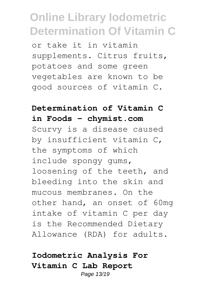or take it in vitamin supplements. Citrus fruits, potatoes and some green vegetables are known to be good sources of vitamin C.

#### **Determination of Vitamin C in Foods - chymist.com**

Scurvy is a disease caused by insufficient vitamin C, the symptoms of which include spongy gums, loosening of the teeth, and bleeding into the skin and mucous membranes. On the other hand, an onset of 60mg intake of vitamin C per day is the Recommended Dietary Allowance (RDA) for adults.

### **Iodometric Analysis For Vitamin C Lab Report**

Page 13/19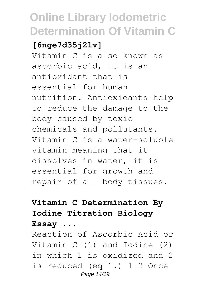### **[6nge7d35j2lv]**

Vitamin C is also known as ascorbic acid, it is an antioxidant that is essential for human nutrition. Antioxidants help to reduce the damage to the body caused by toxic chemicals and pollutants. Vitamin C is a water-soluble vitamin meaning that it dissolves in water, it is essential for growth and repair of all body tissues.

### **Vitamin C Determination By Iodine Titration Biology Essay ...**

Reaction of Ascorbic Acid or Vitamin C (1) and Iodine (2) in which 1 is oxidized and 2 is reduced (eq 1.) 1 2 Once Page 14/19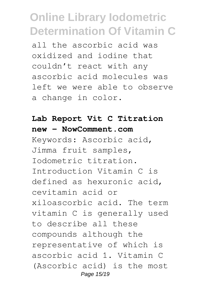all the ascorbic acid was oxidized and iodine that couldn't react with any ascorbic acid molecules was left we were able to observe a change in color.

#### **Lab Report Vit C Titration new - NowComment.com**

Keywords: Ascorbic acid, Jimma fruit samples, Iodometric titration. Introduction Vitamin C is defined as hexuronic acid, cevitamin acid or xiloascorbic acid. The term vitamin C is generally used to describe all these compounds although the representative of which is ascorbic acid 1. Vitamin C (Ascorbic acid) is the most Page 15/19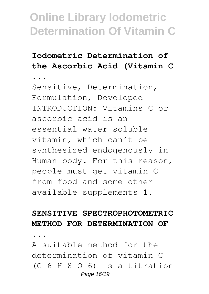### **Iodometric Determination of the Ascorbic Acid (Vitamin C**

**...**

Sensitive, Determination, Formulation, Developed INTRODUCTION: Vitamins C or ascorbic acid is an essential water-soluble vitamin, which can't be synthesized endogenously in Human body. For this reason, people must get vitamin C from food and some other available supplements 1.

#### **SENSITIVE SPECTROPHOTOMETRIC METHOD FOR DETERMINATION OF**

**...**

A suitable method for the determination of vitamin C (C 6 H 8 O 6) is a titration Page 16/19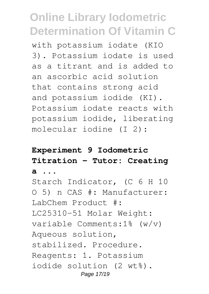with potassium iodate (KIO 3). Potassium iodate is used as a titrant and is added to an ascorbic acid solution that contains strong acid and potassium iodide (KI). Potassium iodate reacts with potassium iodide, liberating molecular iodine (I 2):

### **Experiment 9 Iodometric Titration - Tutor: Creating a ...**

Starch Indicator, (C 6 H 10 O 5) n CAS #: Manufacturer: LabChem Product #: LC25310-51 Molar Weight: variable Comments:1% (w/v) Aqueous solution, stabilized. Procedure. Reagents: 1. Potassium iodide solution (2 wt%). Page 17/19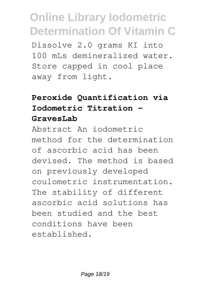Dissolve 2.0 grams KI into 100 mLs demineralized water. Store capped in cool place away from light.

### **Peroxide Quantification via Iodometric Titration - GravesLab**

Abstract An iodometric method for the determination of ascorbic acid has been devised. The method is based on previously developed coulometric instrumentation. The stability of different ascorbic acid solutions has been studied and the best conditions have been established.